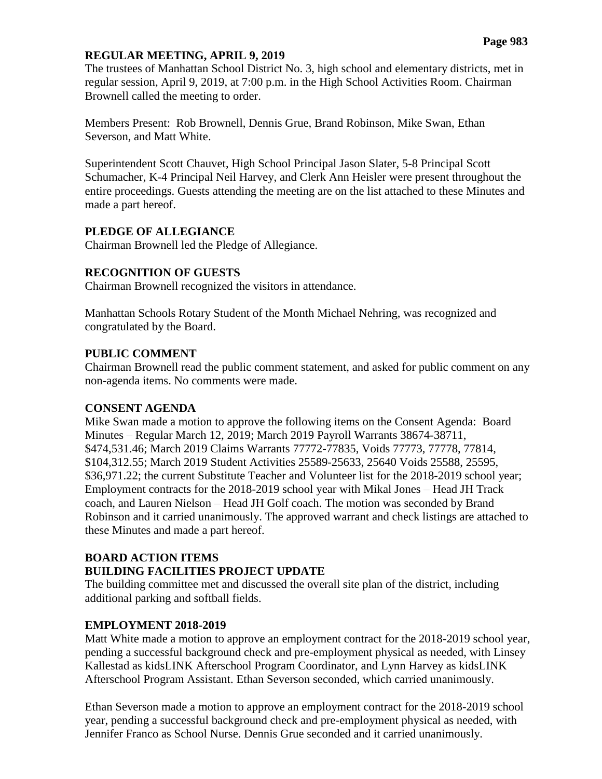### **REGULAR MEETING, APRIL 9, 2019**

The trustees of Manhattan School District No. 3, high school and elementary districts, met in regular session, April 9, 2019, at 7:00 p.m. in the High School Activities Room. Chairman Brownell called the meeting to order.

Members Present: Rob Brownell, Dennis Grue, Brand Robinson, Mike Swan, Ethan Severson, and Matt White.

Superintendent Scott Chauvet, High School Principal Jason Slater, 5-8 Principal Scott Schumacher, K-4 Principal Neil Harvey, and Clerk Ann Heisler were present throughout the entire proceedings. Guests attending the meeting are on the list attached to these Minutes and made a part hereof.

### **PLEDGE OF ALLEGIANCE**

Chairman Brownell led the Pledge of Allegiance.

### **RECOGNITION OF GUESTS**

Chairman Brownell recognized the visitors in attendance.

Manhattan Schools Rotary Student of the Month Michael Nehring, was recognized and congratulated by the Board.

### **PUBLIC COMMENT**

Chairman Brownell read the public comment statement, and asked for public comment on any non-agenda items. No comments were made.

#### **CONSENT AGENDA**

Mike Swan made a motion to approve the following items on the Consent Agenda: Board Minutes – Regular March 12, 2019; March 2019 Payroll Warrants 38674-38711, \$474,531.46; March 2019 Claims Warrants 77772-77835, Voids 77773, 77778, 77814, \$104,312.55; March 2019 Student Activities 25589-25633, 25640 Voids 25588, 25595, \$36,971.22; the current Substitute Teacher and Volunteer list for the 2018-2019 school year; Employment contracts for the 2018-2019 school year with Mikal Jones – Head JH Track coach, and Lauren Nielson – Head JH Golf coach. The motion was seconded by Brand Robinson and it carried unanimously. The approved warrant and check listings are attached to these Minutes and made a part hereof.

# **BOARD ACTION ITEMS BUILDING FACILITIES PROJECT UPDATE**

The building committee met and discussed the overall site plan of the district, including additional parking and softball fields.

# **EMPLOYMENT 2018-2019**

Matt White made a motion to approve an employment contract for the 2018-2019 school year, pending a successful background check and pre-employment physical as needed, with Linsey Kallestad as kidsLINK Afterschool Program Coordinator, and Lynn Harvey as kidsLINK Afterschool Program Assistant. Ethan Severson seconded, which carried unanimously.

Ethan Severson made a motion to approve an employment contract for the 2018-2019 school year, pending a successful background check and pre-employment physical as needed, with Jennifer Franco as School Nurse. Dennis Grue seconded and it carried unanimously.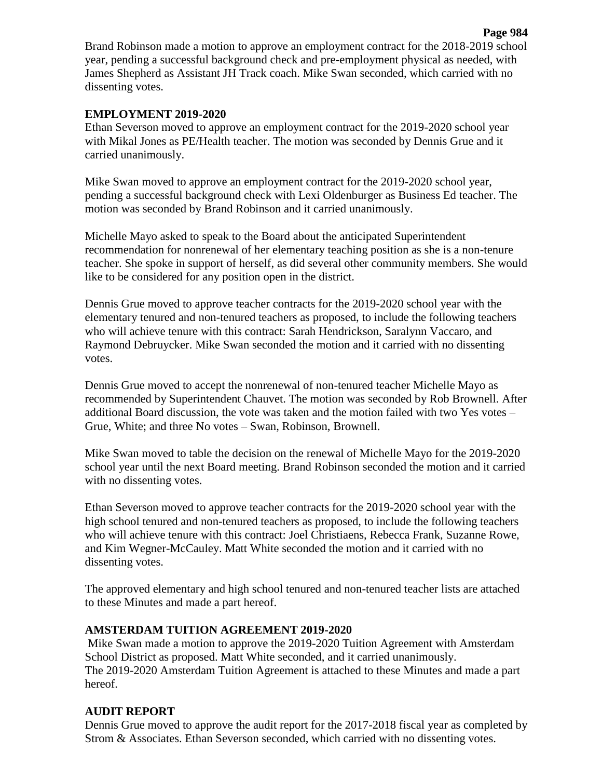Brand Robinson made a motion to approve an employment contract for the 2018-2019 school year, pending a successful background check and pre-employment physical as needed, with James Shepherd as Assistant JH Track coach. Mike Swan seconded, which carried with no dissenting votes.

## **EMPLOYMENT 2019-2020**

Ethan Severson moved to approve an employment contract for the 2019-2020 school year with Mikal Jones as PE/Health teacher. The motion was seconded by Dennis Grue and it carried unanimously.

Mike Swan moved to approve an employment contract for the 2019-2020 school year, pending a successful background check with Lexi Oldenburger as Business Ed teacher. The motion was seconded by Brand Robinson and it carried unanimously.

Michelle Mayo asked to speak to the Board about the anticipated Superintendent recommendation for nonrenewal of her elementary teaching position as she is a non-tenure teacher. She spoke in support of herself, as did several other community members. She would like to be considered for any position open in the district.

Dennis Grue moved to approve teacher contracts for the 2019-2020 school year with the elementary tenured and non-tenured teachers as proposed, to include the following teachers who will achieve tenure with this contract: Sarah Hendrickson, Saralynn Vaccaro, and Raymond Debruycker. Mike Swan seconded the motion and it carried with no dissenting votes.

Dennis Grue moved to accept the nonrenewal of non-tenured teacher Michelle Mayo as recommended by Superintendent Chauvet. The motion was seconded by Rob Brownell. After additional Board discussion, the vote was taken and the motion failed with two Yes votes – Grue, White; and three No votes – Swan, Robinson, Brownell.

Mike Swan moved to table the decision on the renewal of Michelle Mayo for the 2019-2020 school year until the next Board meeting. Brand Robinson seconded the motion and it carried with no dissenting votes.

Ethan Severson moved to approve teacher contracts for the 2019-2020 school year with the high school tenured and non-tenured teachers as proposed, to include the following teachers who will achieve tenure with this contract: Joel Christiaens, Rebecca Frank, Suzanne Rowe, and Kim Wegner-McCauley. Matt White seconded the motion and it carried with no dissenting votes.

The approved elementary and high school tenured and non-tenured teacher lists are attached to these Minutes and made a part hereof.

## **AMSTERDAM TUITION AGREEMENT 2019-2020**

Mike Swan made a motion to approve the 2019-2020 Tuition Agreement with Amsterdam School District as proposed. Matt White seconded, and it carried unanimously. The 2019-2020 Amsterdam Tuition Agreement is attached to these Minutes and made a part hereof.

# **AUDIT REPORT**

Dennis Grue moved to approve the audit report for the 2017-2018 fiscal year as completed by Strom & Associates. Ethan Severson seconded, which carried with no dissenting votes.